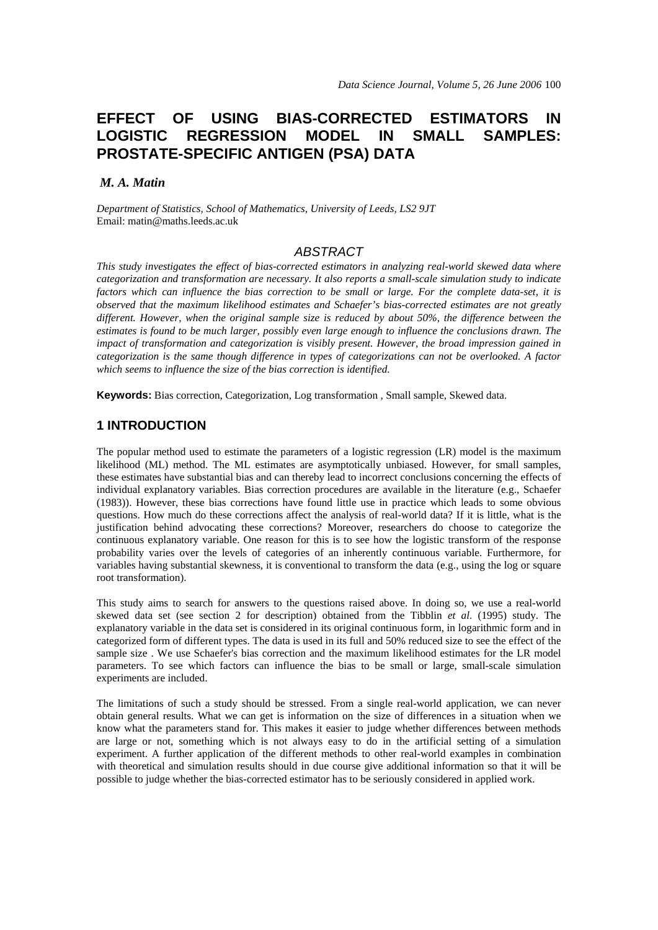# **EFFECT OF USING BIAS-CORRECTED ESTIMATORS IN LOGISTIC REGRESSION MODEL IN SMALL SAMPLES: PROSTATE-SPECIFIC ANTIGEN (PSA) DATA**

#### *M. A. Matin*

*Department of Statistics, School of Mathematics, University of Leeds, LS2 9JT*  Email: matin@maths.leeds.ac.uk

## *ABSTRACT*

*This study investigates the effect of bias-corrected estimators in analyzing real-world skewed data where categorization and transformation are necessary. It also reports a small-scale simulation study to indicate factors which can influence the bias correction to be small or large. For the complete data-set, it is observed that the maximum likelihood estimates and Schaefer's bias-corrected estimates are not greatly different. However, when the original sample size is reduced by about 50%, the difference between the estimates is found to be much larger, possibly even large enough to influence the conclusions drawn. The impact of transformation and categorization is visibly present. However, the broad impression gained in categorization is the same though difference in types of categorizations can not be overlooked. A factor which seems to influence the size of the bias correction is identified.* 

**Keywords:** Bias correction, Categorization, Log transformation , Small sample, Skewed data.

#### **1 INTRODUCTION**

The popular method used to estimate the parameters of a logistic regression (LR) model is the maximum likelihood (ML) method. The ML estimates are asymptotically unbiased. However, for small samples, these estimates have substantial bias and can thereby lead to incorrect conclusions concerning the effects of individual explanatory variables. Bias correction procedures are available in the literature (e.g., Schaefer (1983)). However, these bias corrections have found little use in practice which leads to some obvious questions. How much do these corrections affect the analysis of real-world data? If it is little, what is the justification behind advocating these corrections? Moreover, researchers do choose to categorize the continuous explanatory variable. One reason for this is to see how the logistic transform of the response probability varies over the levels of categories of an inherently continuous variable. Furthermore, for variables having substantial skewness, it is conventional to transform the data (e.g., using the log or square root transformation).

This study aims to search for answers to the questions raised above. In doing so, we use a real-world skewed data set (see section 2 for description) obtained from the Tibblin *et al*. (1995) study. The explanatory variable in the data set is considered in its original continuous form, in logarithmic form and in categorized form of different types. The data is used in its full and 50% reduced size to see the effect of the sample size . We use Schaefer's bias correction and the maximum likelihood estimates for the LR model parameters. To see which factors can influence the bias to be small or large, small-scale simulation experiments are included.

The limitations of such a study should be stressed. From a single real-world application, we can never obtain general results. What we can get is information on the size of differences in a situation when we know what the parameters stand for. This makes it easier to judge whether differences between methods are large or not, something which is not always easy to do in the artificial setting of a simulation experiment. A further application of the different methods to other real-world examples in combination with theoretical and simulation results should in due course give additional information so that it will be possible to judge whether the bias-corrected estimator has to be seriously considered in applied work.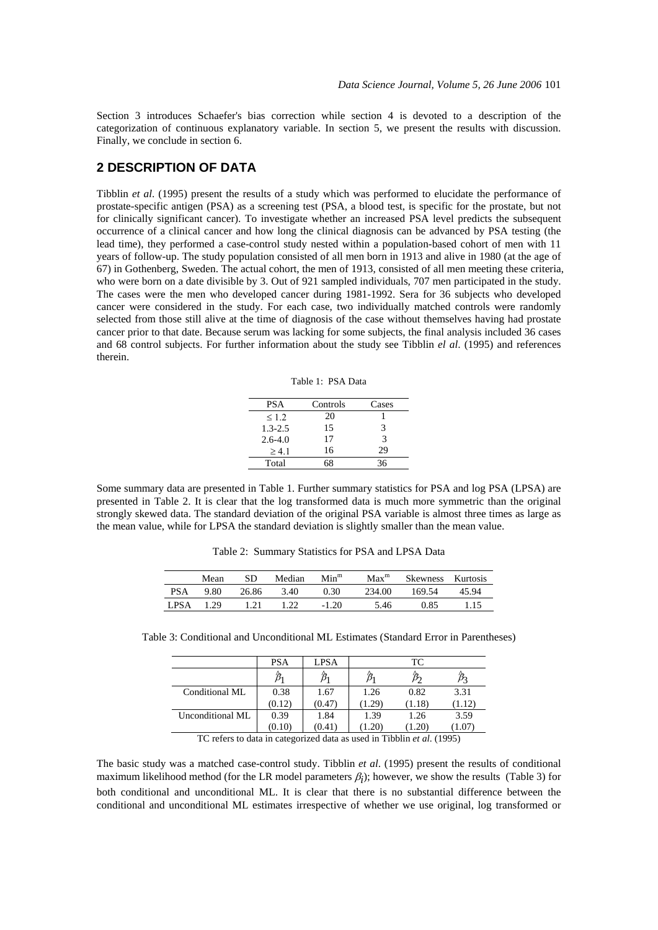Section 3 introduces Schaefer's bias correction while section 4 is devoted to a description of the categorization of continuous explanatory variable. In section 5, we present the results with discussion. Finally, we conclude in section 6.

### **2 DESCRIPTION OF DATA**

Tibblin *et al*. (1995) present the results of a study which was performed to elucidate the performance of prostate-specific antigen (PSA) as a screening test (PSA, a blood test, is specific for the prostate, but not for clinically significant cancer). To investigate whether an increased PSA level predicts the subsequent occurrence of a clinical cancer and how long the clinical diagnosis can be advanced by PSA testing (the lead time), they performed a case-control study nested within a population-based cohort of men with 11 years of follow-up. The study population consisted of all men born in 1913 and alive in 1980 (at the age of 67) in Gothenberg, Sweden. The actual cohort, the men of 1913, consisted of all men meeting these criteria, who were born on a date divisible by 3. Out of 921 sampled individuals, 707 men participated in the study. The cases were the men who developed cancer during 1981-1992. Sera for 36 subjects who developed cancer were considered in the study. For each case, two individually matched controls were randomly selected from those still alive at the time of diagnosis of the case without themselves having had prostate cancer prior to that date. Because serum was lacking for some subjects, the final analysis included 36 cases and 68 control subjects. For further information about the study see Tibblin *el al*. (1995) and references therein.

Table 1: PSA Data

| PSA         | Controls | Cases |
|-------------|----------|-------|
| $\leq 1.2$  | 20       |       |
| $1.3 - 2.5$ | 15       | 3     |
| $2.6 - 4.0$ | 17       | 3     |
| > 4.1       | 16       | 29    |
| Total       |          | 36    |

Some summary data are presented in Table 1. Further summary statistics for PSA and log PSA (LPSA) are presented in Table 2. It is clear that the log transformed data is much more symmetric than the original strongly skewed data. The standard deviation of the original PSA variable is almost three times as large as the mean value, while for LPSA the standard deviation is slightly smaller than the mean value.

Table 2: Summary Statistics for PSA and LPSA Data

|             | Mean | SD.   | Median | $Min^m$ | $\mathbf{Max}^{\mathbf{m}}$ | Skewness Kurtosis |       |
|-------------|------|-------|--------|---------|-----------------------------|-------------------|-------|
| <b>PSA</b>  | 9.80 | 26.86 | 3.40   | 0.30    | 234.00                      | 169.54            | 45.94 |
| <b>LPSA</b> | 1.29 | 1 21  | 1 22   | $-1.20$ | 5.46                        | 0.85              |       |

Table 3: Conditional and Unconditional ML Estimates (Standard Error in Parentheses)

|                                                                                                                                                  | <b>PSA</b> | LPSA   |        | TC.    |        |  |  |
|--------------------------------------------------------------------------------------------------------------------------------------------------|------------|--------|--------|--------|--------|--|--|
|                                                                                                                                                  |            | ν      |        |        |        |  |  |
| Conditional ML                                                                                                                                   | 0.38       | 1.67   | 1.26   | 0.82   | 3.31   |  |  |
|                                                                                                                                                  | (0.12)     | (0.47  | (1.29) | (1.18) | (1.12) |  |  |
| Unconditional ML                                                                                                                                 | 0.39       | 1.84   | 1.39   | 1.26   | 3.59   |  |  |
|                                                                                                                                                  | (0.10)     | (0.41) | (1.20) | (1.20) | 1.07   |  |  |
| $\sim$<br>$m + 1$<br>$\sim$<br>$\cdot$<br>$\mathbf{1}$ $\mathbf{1}$ $\mathbf{1}$ $\mathbf{1}$ $\mathbf{1}$ $\mathbf{1}$ $\mathbf{1}$<br>$\cdots$ |            |        |        |        |        |  |  |

TC refers to data in categorized data as used in Tibblin *et al*. (1995)

The basic study was a matched case-control study. Tibblin *et al*. (1995) present the results of conditional maximum likelihood method (for the LR model parameters  $\beta_i$ ); however, we show the results (Table 3) for both conditional and unconditional ML. It is clear that there is no substantial difference between the conditional and unconditional ML estimates irrespective of whether we use original, log transformed or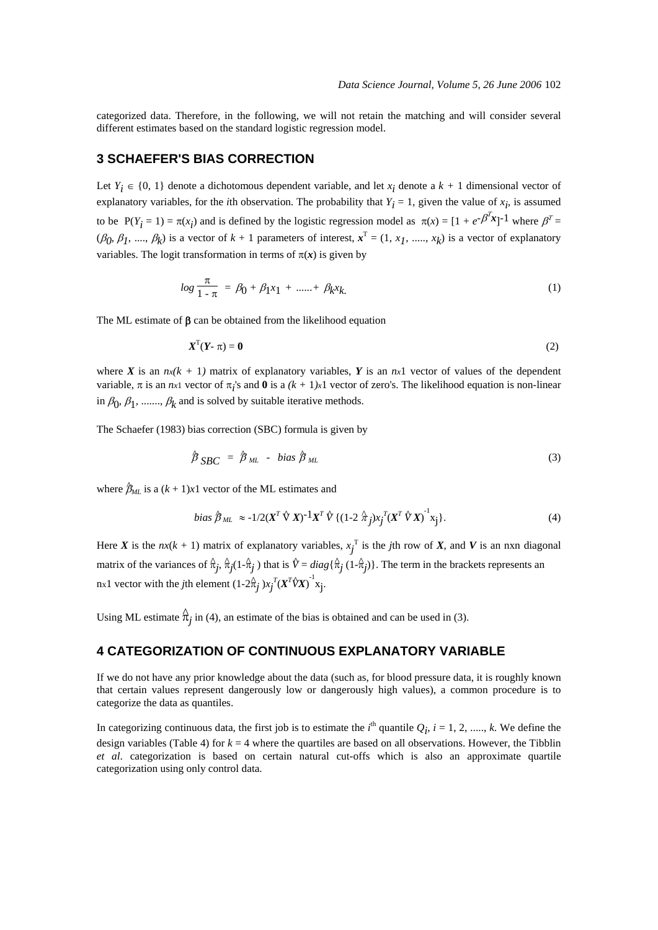categorized data. Therefore, in the following, we will not retain the matching and will consider several different estimates based on the standard logistic regression model.

### **3 SCHAEFER'S BIAS CORRECTION**

Let  $Y_i \in \{0, 1\}$  denote a dichotomous dependent variable, and let  $x_i$  denote a  $k + 1$  dimensional vector of explanatory variables, for the *i*th observation. The probability that  $Y_i = 1$ , given the value of  $x_i$ , is assumed to be  $P(Y_i = 1) = \pi(x_i)$  and is defined by the logistic regression model as  $\pi(x) = [1 + e^{-\beta x}]^{-1}$  where  $\beta^T =$  $(\beta_0, \beta_1, ..., \beta_k)$  is a vector of  $k + 1$  parameters of interest,  $x^T = (1, x_1, ..., x_k)$  is a vector of explanatory variables. The logit transformation in terms of  $\pi(x)$  is given by

$$
log \frac{\pi}{1 - \pi} = \beta_0 + \beta_1 x_1 + \dots + \beta_k x_k.
$$
 (1)

The ML estimate of  $\beta$  can be obtained from the likelihood equation

$$
X^{T}(Y-\pi)=0
$$
 (2)

where *X* is an  $n\chi(k + 1)$  matrix of explanatory variables, *Y* is an  $n\chi1$  vector of values of the dependent variable,  $\pi$  is an  $nx_1$  vector of  $\pi_i$ 's and **0** is a  $(k + 1)x_1$  vector of zero's. The likelihood equation is non-linear in  $\beta_0$ ,  $\beta_1$ , ......,  $\beta_k$  and is solved by suitable iterative methods.

The Schaefer (1983) bias correction (SBC) formula is given by

$$
\hat{\beta}_{SBC} = \hat{\beta}_{ML} - bias \hat{\beta}_{ML} \tag{3}
$$

where  $\hat{\beta}_{ML}$  is a  $(k + 1)x1$  vector of the ML estimates and

bias 
$$
\hat{\beta}_{ML} \approx -1/2(\mathbf{X}^T \hat{\nabla} \mathbf{X})^{-1} \mathbf{X}^T \hat{\nabla} \{ (1-2 \hat{\pi}_j) x_j^T (\mathbf{X}^T \hat{\nabla} \mathbf{X})^{-1} x_j \}.
$$
 (4)

Here *X* is the  $nx(k + 1)$  matrix of explanatory variables,  $x_j^T$  is the *j*th row of *X*, and *V* is an nxn diagonal matrix of the variances of  $\hat{\pi}_j$ ,  $\hat{\pi}_j$ (1- $\hat{\pi}_j$ ) that is  $\hat{V} = diag\{\hat{\pi}_j (1-\hat{\pi}_j)\}\$ . The term in the brackets represents an nx1 vector with the *j*th element  $(1-2\hat{\pi}_j)x_j^T(X^T\hat{V}X)^{-1}x_j$ .

Using ML estimate  $\hat{\pi}_j$  in (4), an estimate of the bias is obtained and can be used in (3).

#### **4 CATEGORIZATION OF CONTINUOUS EXPLANATORY VARIABLE**

If we do not have any prior knowledge about the data (such as, for blood pressure data, it is roughly known that certain values represent dangerously low or dangerously high values), a common procedure is to categorize the data as quantiles.

In categorizing continuous data, the first job is to estimate the  $i<sup>th</sup>$  quantile  $Q_i$ ,  $i = 1, 2, \dots, k$ . We define the design variables (Table 4) for  $k = 4$  where the quartiles are based on all observations. However, the Tibblin *et al*. categorization is based on certain natural cut-offs which is also an approximate quartile categorization using only control data.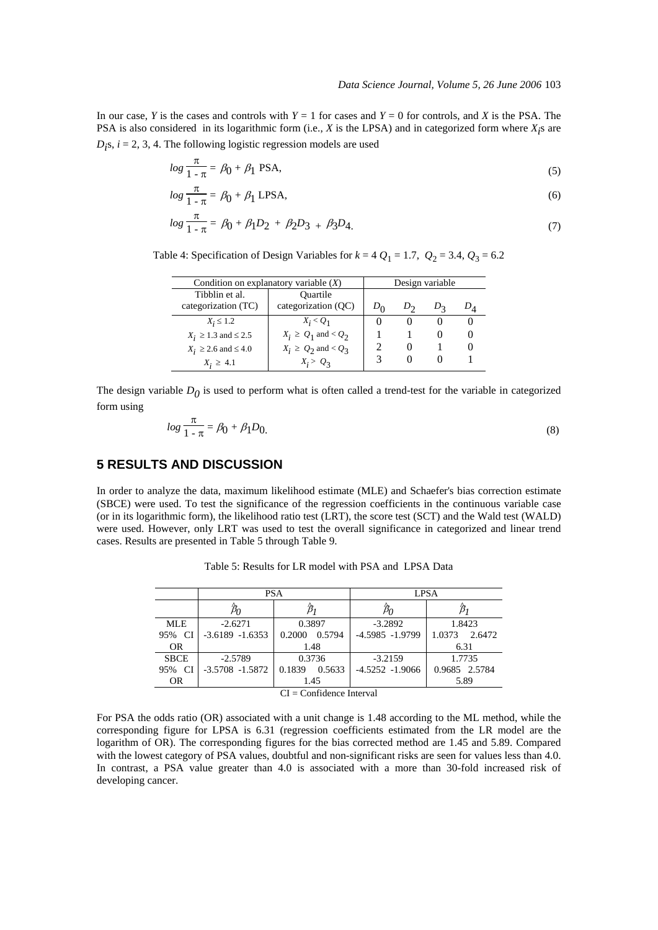In our case, *Y* is the cases and controls with  $Y = 1$  for cases and  $Y = 0$  for controls, and *X* is the PSA. The PSA is also considered in its logarithmic form (i.e.,  $X$  is the LPSA) and in categorized form where  $X_i$  are  $D_i$ s,  $i = 2, 3, 4$ . The following logistic regression models are used

$$
\log \frac{\pi}{1 - \pi} = \beta_0 + \beta_1 \text{ PSA},\tag{5}
$$

$$
\log \frac{\pi}{1 - \pi} = \beta_0 + \beta_1 \text{ LPSA},\tag{6}
$$

$$
\log \frac{\pi}{1 - \pi} = \beta_0 + \beta_1 D_2 + \beta_2 D_3 + \beta_3 D_4. \tag{7}
$$

Table 4: Specification of Design Variables for  $k = 4$   $Q_1 = 1.7$ ,  $Q_2 = 3.4$ ,  $Q_3 = 6.2$ 

| Condition on explanatory variable $(X)$ | Design variable                 |  |    |  |       |
|-----------------------------------------|---------------------------------|--|----|--|-------|
| Tibblin et al.<br>categorization (TC)   | Ouartile<br>categorization (QC) |  | D٠ |  | $D_A$ |
| $X_i \leq 1.2$                          | $X_i < Q_1$                     |  |    |  |       |
| $X_i \geq 1.3$ and $\leq 2.5$           | $X_i \ge Q_1$ and < $Q_2$       |  |    |  |       |
| $X_i \geq 2.6$ and $\leq 4.0$           | $X_i \geq Q_2$ and < $Q_3$      |  |    |  |       |
| $X_i \ge 4.1$                           | $X_i > Q_3$                     |  |    |  |       |

The design variable  $D<sub>0</sub>$  is used to perform what is often called a trend-test for the variable in categorized form using

$$
\log \frac{\pi}{1 - \pi} = \beta_0 + \beta_1 D_0. \tag{8}
$$

## **5 RESULTS AND DISCUSSION**

In order to analyze the data, maximum likelihood estimate (MLE) and Schaefer's bias correction estimate (SBCE) were used. To test the significance of the regression coefficients in the continuous variable case (or in its logarithmic form), the likelihood ratio test (LRT), the score test (SCT) and the Wald test (WALD) were used. However, only LRT was used to test the overall significance in categorized and linear trend cases. Results are presented in Table 5 through Table 9.

|                             |                    | <b>PSA</b>       | <b>LPSA</b>        |                  |  |  |  |
|-----------------------------|--------------------|------------------|--------------------|------------------|--|--|--|
|                             | pρ                 |                  |                    |                  |  |  |  |
| <b>MLE</b>                  | $-2.6271$          | 0.3897           | $-3.2892$          | 1.8423           |  |  |  |
| 95% CI                      | $-3.6189 - 1.6353$ | 0.2000 0.5794    | $-4.5985 - 1.9799$ | 1.0373<br>2.6472 |  |  |  |
| <b>OR</b>                   |                    | 1.48             |                    | 6.31             |  |  |  |
| <b>SBCE</b>                 | $-2.5789$          | 0.3736           | $-3.2159$          | 1.7735           |  |  |  |
| 95% CI                      | $-3.5708 - 1.5872$ | 0.1839<br>0.5633 | $-4.5252 - 1.9066$ | 0.9685 2.5784    |  |  |  |
| <b>OR</b><br>1.45           |                    |                  | 5.89               |                  |  |  |  |
| $CI = Con Edown$ , Internal |                    |                  |                    |                  |  |  |  |

Table 5: Results for LR model with PSA and LPSA Data

CI = Confidence Interval

For PSA the odds ratio (OR) associated with a unit change is 1.48 according to the ML method, while the corresponding figure for LPSA is 6.31 (regression coefficients estimated from the LR model are the logarithm of OR). The corresponding figures for the bias corrected method are 1.45 and 5.89. Compared with the lowest category of PSA values, doubtful and non-significant risks are seen for values less than 4.0. In contrast, a PSA value greater than 4.0 is associated with a more than 30-fold increased risk of developing cancer.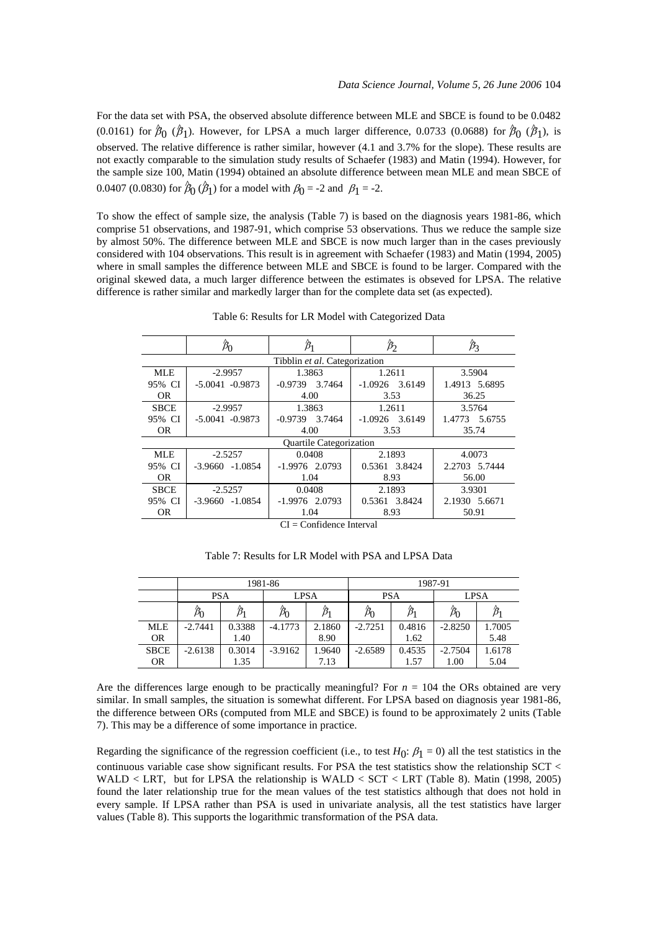For the data set with PSA, the observed absolute difference between MLE and SBCE is found to be 0.0482 (0.0161) for  $\hat{\beta}_0$  ( $\hat{\beta}_1$ ). However, for LPSA a much larger difference, 0.0733 (0.0688) for  $\hat{\beta}_0$  ( $\hat{\beta}_1$ ), is observed. The relative difference is rather similar, however (4.1 and 3.7% for the slope). These results are not exactly comparable to the simulation study results of Schaefer (1983) and Matin (1994). However, for the sample size 100, Matin (1994) obtained an absolute difference between mean MLE and mean SBCE of 0.0407 (0.0830) for  $\hat{\beta}_0$  ( $\hat{\beta}_1$ ) for a model with  $\beta_0 = -2$  and  $\beta_1 = -2$ .

To show the effect of sample size, the analysis (Table 7) is based on the diagnosis years 1981-86, which comprise 51 observations, and 1987-91, which comprise 53 observations. Thus we reduce the sample size by almost 50%. The difference between MLE and SBCE is now much larger than in the cases previously considered with 104 observations. This result is in agreement with Schaefer (1983) and Matin (1994, 2005) where in small samples the difference between MLE and SBCE is found to be larger. Compared with the original skewed data, a much larger difference between the estimates is obseved for LPSA. The relative difference is rather similar and markedly larger than for the complete data set (as expected).

|                               |                    |                                | $\beta_2$           | $\hat{\beta}_3$  |  |  |  |  |
|-------------------------------|--------------------|--------------------------------|---------------------|------------------|--|--|--|--|
| Tibblin et al. Categorization |                    |                                |                     |                  |  |  |  |  |
| <b>MLE</b>                    | $-2.9957$          | 1.3863                         | 1.2611              | 3.5904           |  |  |  |  |
| 95% CI                        | $-5.0041 - 0.9873$ | 3.7464<br>$-0.9739$            | 3.6149<br>$-1.0926$ | 1.4913 5.6895    |  |  |  |  |
| OR.                           |                    | 4.00                           | 3.53                | 36.25            |  |  |  |  |
| <b>SBCE</b>                   | $-2.9957$          | 1.3863                         | 1.2611              | 3.5764           |  |  |  |  |
| 95% CI                        | $-5.0041 - 0.9873$ | 3.7464<br>$-0.9739$            | 3.6149<br>$-1.0926$ | 1.4773<br>5.6755 |  |  |  |  |
| <b>OR</b>                     |                    | 4.00                           | 3.53                | 35.74            |  |  |  |  |
|                               |                    | <b>Quartile Categorization</b> |                     |                  |  |  |  |  |
| <b>MLE</b>                    | $-2.5257$          | 0.0408                         | 2.1893              | 4.0073           |  |  |  |  |
| 95% CI                        | $-3.9660 -1.0854$  | $-1.9976$ 2.0793               | 0.5361 3.8424       | 2.2703 5.7444    |  |  |  |  |
| OR.                           |                    | 1.04                           | 8.93                | 56.00            |  |  |  |  |
| <b>SBCE</b>                   | $-2.5257$          | 0.0408                         | 2.1893              | 3.9301           |  |  |  |  |
| 95% CI                        | $-3.9660 -1.0854$  | $-1.9976$ 2.0793               | 0.5361 3.8424       | 2.1930 5.6671    |  |  |  |  |
| <b>OR</b>                     |                    | 1.04                           | 8.93                | 50.91            |  |  |  |  |

Table 6: Results for LR Model with Categorized Data

 $CI = Confidence Interval$ 

Table 7: Results for LR Model with PSA and LPSA Data

|             |                      |           | 1981-86     |        | 1987-91    |           |             |        |
|-------------|----------------------|-----------|-------------|--------|------------|-----------|-------------|--------|
|             | PSA                  |           | <b>LPSA</b> |        | <b>PSA</b> |           | <b>LPSA</b> |        |
|             | $\beta$ <sub>0</sub> | $\beta_1$ | $\beta_0$   |        | $\beta_0$  | $\beta_1$ | $\beta_0$   |        |
| <b>MLE</b>  | $-2.7441$            | 0.3388    | $-4.1773$   | 2.1860 | $-2.7251$  | 0.4816    | $-2.8250$   | 1.7005 |
| <b>OR</b>   |                      | 1.40      |             | 8.90   |            | 1.62      |             | 5.48   |
| <b>SBCE</b> | $-2.6138$            | 0.3014    | $-3.9162$   | 1.9640 | $-2.6589$  | 0.4535    | $-2.7504$   | 1.6178 |
| <b>OR</b>   |                      | 1.35      |             | 7.13   |            | 1.57      | 1.00        | 5.04   |

Are the differences large enough to be practically meaningful? For  $n = 104$  the ORs obtained are very similar. In small samples, the situation is somewhat different. For LPSA based on diagnosis year 1981-86, the difference between ORs (computed from MLE and SBCE) is found to be approximately 2 units (Table 7). This may be a difference of some importance in practice.

Regarding the significance of the regression coefficient (i.e., to test  $H_0$ :  $\beta_1 = 0$ ) all the test statistics in the continuous variable case show significant results. For PSA the test statistics show the relationship SCT < WALD < LRT, but for LPSA the relationship is WALD < SCT < LRT (Table 8). Matin (1998, 2005) found the later relationship true for the mean values of the test statistics although that does not hold in every sample. If LPSA rather than PSA is used in univariate analysis, all the test statistics have larger values (Table 8). This supports the logarithmic transformation of the PSA data.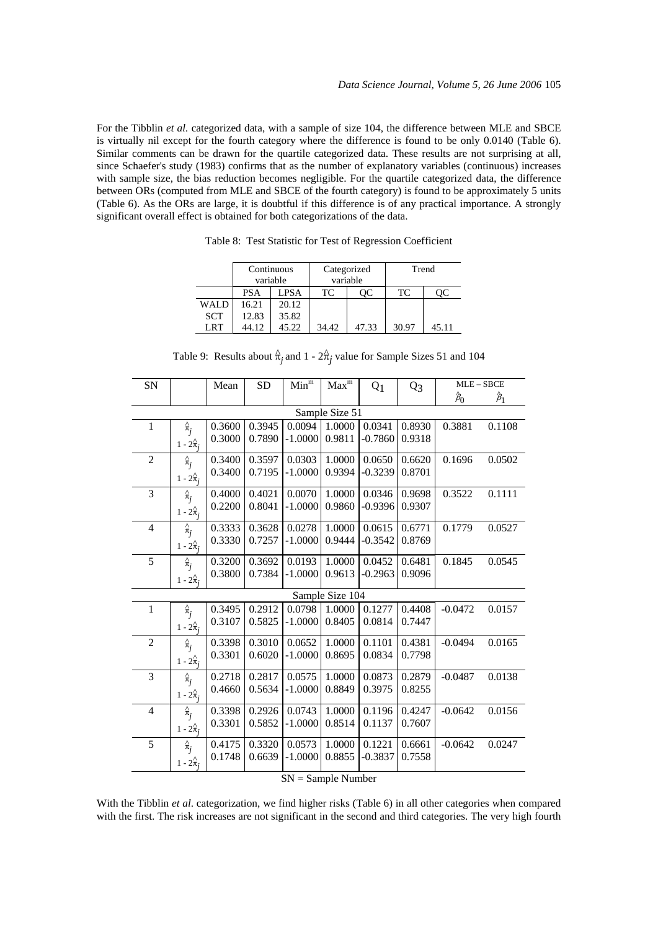For the Tibblin *et al.* categorized data, with a sample of size 104, the difference between MLE and SBCE is virtually nil except for the fourth category where the difference is found to be only 0.0140 (Table 6). Similar comments can be drawn for the quartile categorized data. These results are not surprising at all, since Schaefer's study (1983) confirms that as the number of explanatory variables (continuous) increases with sample size, the bias reduction becomes negligible. For the quartile categorized data, the difference between ORs (computed from MLE and SBCE of the fourth category) is found to be approximately 5 units (Table 6). As the ORs are large, it is doubtful if this difference is of any practical importance. A strongly significant overall effect is obtained for both categorizations of the data.

|             | Continuous |             | Categorized |       | Trend |       |
|-------------|------------|-------------|-------------|-------|-------|-------|
|             | variable   |             | variable    |       |       |       |
|             | <b>PSA</b> | <b>LPSA</b> | TC          | OС    | TC    | ОC    |
| <b>WALD</b> | 16.21      | 20.12       |             |       |       |       |
| <b>SCT</b>  | 12.83      | 35.82       |             |       |       |       |
| <b>LRT</b>  | 44.12      | 45.22       | 34.42       | 47.33 | 30.97 | 45.11 |

Table 8: Test Statistic for Test of Regression Coefficient

| ${\rm SN}$     |                                                              | Mean   | <b>SD</b> | $\mathbf{Min}^m$ | Max <sup>m</sup> | $Q_1$     | $Q_3$  | $MLE - SBCE$          |                 |
|----------------|--------------------------------------------------------------|--------|-----------|------------------|------------------|-----------|--------|-----------------------|-----------------|
|                |                                                              |        |           |                  |                  |           |        | $\hat{\varepsilon}_0$ | $\hat{\beta}_1$ |
|                |                                                              |        |           |                  | Sample Size 51   |           |        |                       |                 |
| 1              | $\hat{\pi}_j$                                                | 0.3600 | 0.3945    | 0.0094           | 1.0000           | 0.0341    | 0.8930 | 0.3881                | 0.1108          |
|                | $1 - 2\hat{\pi}_i$                                           | 0.3000 | 0.7890    | $-1.0000$        | 0.9811           | $-0.7860$ | 0.9318 |                       |                 |
| $\overline{c}$ | $\hat{\pi}_j$                                                | 0.3400 | 0.3597    | 0.0303           | 1.0000           | 0.0650    | 0.6620 | 0.1696                | 0.0502          |
|                | $1 - 2\hat{\pi}$                                             | 0.3400 | 0.7195    | $-1.0000$        | 0.9394           | $-0.3239$ | 0.8701 |                       |                 |
| 3              | $\hat{\pi}_j$                                                | 0.4000 | 0.4021    | 0.0070           | 1.0000           | 0.0346    | 0.9698 | 0.3522                | 0.1111          |
|                | $1 - 2\hat{\pi}_i$                                           | 0.2200 | 0.8041    | $-1.0000$        | 0.9860           | $-0.9396$ | 0.9307 |                       |                 |
| $\overline{4}$ | $\hat{\pi}_j$                                                | 0.3333 | 0.3628    | 0.0278           | 1.0000           | 0.0615    | 0.6771 | 0.1779                | 0.0527          |
|                | $1 - 2\hat{\pi}_i$                                           | 0.3330 | 0.7257    | $-1.0000$        | 0.9444           | $-0.3542$ | 0.8769 |                       |                 |
| 5              | $\hat{\pi}_j$                                                | 0.3200 | 0.3692    | 0.0193           | 1.0000           | 0.0452    | 0.6481 | 0.1845                | 0.0545          |
|                | $1 - 2\hat{\pi}_i$                                           | 0.3800 | 0.7384    | $-1.0000$        | 0.9613           | $-0.2963$ | 0.9096 |                       |                 |
|                |                                                              |        |           |                  | Sample Size 104  |           |        |                       |                 |
| $\mathbf{1}$   | $\hat{\pi}_j$                                                | 0.3495 | 0.2912    | 0.0798           | 1.0000           | 0.1277    | 0.4408 | $-0.0472$             | 0.0157          |
|                | $1 - 2\hat{\pi}_i$                                           | 0.3107 | 0.5825    | $-1.0000$        | 0.8405           | 0.0814    | 0.7447 |                       |                 |
| $\mathfrak{2}$ | $\hat{\pi}_j$                                                | 0.3398 | 0.3010    | 0.0652           | 1.0000           | 0.1101    | 0.4381 | $-0.0494$             | 0.0165          |
|                | $1 - 2\hat{\pi}_i$                                           | 0.3301 | 0.6020    | $-1.0000$        | 0.8695           | 0.0834    | 0.7798 |                       |                 |
| 3              | $\hat{\pi}_j$                                                | 0.2718 | 0.2817    | 0.0575           | 1.0000           | 0.0873    | 0.2879 | $-0.0487$             | 0.0138          |
|                | $1 - 2\hat{\pi}_i$                                           | 0.4660 | 0.5634    | $-1.0000$        | 0.8849           | 0.3975    | 0.8255 |                       |                 |
| $\overline{4}$ | $\hat{\pi}_j$                                                | 0.3398 | 0.2926    | 0.0743           | 1.0000           | 0.1196    | 0.4247 | $-0.0642$             | 0.0156          |
|                | $1 - 2\hat{\pi}_i$                                           | 0.3301 | 0.5852    | $-1.0000$        | 0.8514           | 0.1137    | 0.7607 |                       |                 |
| 5              | $\hat{\pi}_j$                                                | 0.4175 | 0.3320    | 0.0573           | 1.0000           | 0.1221    | 0.6661 | $-0.0642$             | 0.0247          |
|                | $1 - 2\hat{\pi}_i$                                           | 0.1748 | 0.6639    | $-1.0000$        | 0.8855           | $-0.3837$ | 0.7558 |                       |                 |
|                | $CN =$ $C_{\alpha\beta\gamma\delta}$ $N_{\alpha\beta\delta}$ |        |           |                  |                  |           |        |                       |                 |

Table 9: Results about  $\hat{\pi}_j$  and 1 -  $2\hat{\pi}_j$  value for Sample Sizes 51 and 104

 $SN = Sample Number$ 

With the Tibblin *et al*. categorization, we find higher risks (Table 6) in all other categories when compared with the first. The risk increases are not significant in the second and third categories. The very high fourth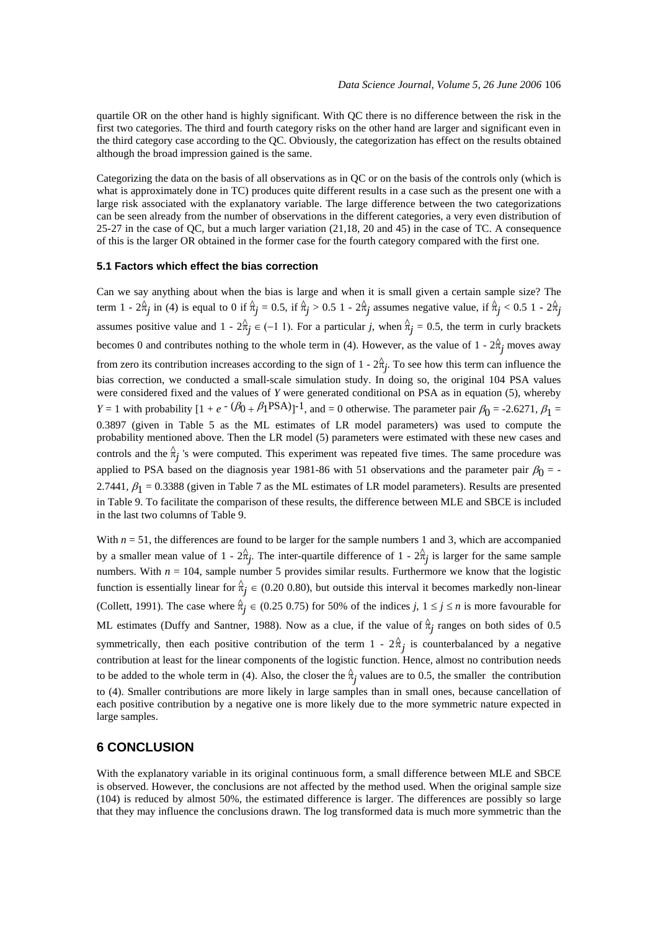quartile OR on the other hand is highly significant. With QC there is no difference between the risk in the first two categories. The third and fourth category risks on the other hand are larger and significant even in the third category case according to the QC. Obviously, the categorization has effect on the results obtained although the broad impression gained is the same.

Categorizing the data on the basis of all observations as in QC or on the basis of the controls only (which is what is approximately done in TC) produces quite different results in a case such as the present one with a large risk associated with the explanatory variable. The large difference between the two categorizations can be seen already from the number of observations in the different categories, a very even distribution of 25-27 in the case of QC, but a much larger variation (21,18, 20 and 45) in the case of TC. A consequence of this is the larger OR obtained in the former case for the fourth category compared with the first one.

#### **5.1 Factors which effect the bias correction**

Can we say anything about when the bias is large and when it is small given a certain sample size? The term 1 -  $2\hat{\pi}_j$  in (4) is equal to 0 if  $\hat{\pi}_j = 0.5$ , if  $\hat{\pi}_j > 0.5$  1 -  $2\hat{\pi}_j$  assumes negative value, if  $\hat{\pi}_j < 0.5$  1 -  $2\hat{\pi}_j$ assumes positive value and  $1 - 2\hat{\pi}_j \in (-1 \text{ 1})$ . For a particular *j*, when  $\hat{\pi}_j = 0.5$ , the term in curly brackets becomes 0 and contributes nothing to the whole term in (4). However, as the value of  $1 - 2\hat{\pi}_j$  moves away from zero its contribution increases according to the sign of  $1 - 2\hat{\pi}_j$ . To see how this term can influence the bias correction, we conducted a small-scale simulation study. In doing so, the original 104 PSA values were considered fixed and the values of *Y* were generated conditional on PSA as in equation (5), whereby *Y* = 1 with probability  $[1 + e^{-(\beta_0 + \beta_1 PSA)}]$ <sup>-1</sup>, and = 0 otherwise. The parameter pair  $\beta_0$  = -2.6271,  $\beta_1$  = 0.3897 (given in Table 5 as the ML estimates of LR model parameters) was used to compute the probability mentioned above. Then the LR model (5) parameters were estimated with these new cases and controls and the  $\hat{\pi}_j$  's were computed. This experiment was repeated five times. The same procedure was applied to PSA based on the diagnosis year 1981-86 with 51 observations and the parameter pair  $\beta_0$  = -2.7441,  $\beta_1 = 0.3388$  (given in Table 7 as the ML estimates of LR model parameters). Results are presented in Table 9. To facilitate the comparison of these results, the difference between MLE and SBCE is included in the last two columns of Table 9.

With  $n = 51$ , the differences are found to be larger for the sample numbers 1 and 3, which are accompanied by a smaller mean value of  $1 - 2\hat{\pi}_j$ . The inter-quartile difference of  $1 - 2\hat{\pi}_j$  is larger for the same sample numbers. With  $n = 104$ , sample number 5 provides similar results. Furthermore we know that the logistic function is essentially linear for  $\hat{\pi}_j \in (0.20, 0.80)$ , but outside this interval it becomes markedly non-linear (Collett, 1991). The case where  $\hat{\pi}_j \in (0.25 \text{ } 0.75)$  for 50% of the indices *j*,  $1 \le j \le n$  is more favourable for ML estimates (Duffy and Santner, 1988). Now as a clue, if the value of  $\hat{\pi}$  ranges on both sides of 0.5 symmetrically, then each positive contribution of the term  $1 - 2\hat{\pi}_j$  is counterbalanced by a negative contribution at least for the linear components of the logistic function. Hence, almost no contribution needs to be added to the whole term in (4). Also, the closer the  $\hat{\pi}_j$  values are to 0.5, the smaller the contribution to (4). Smaller contributions are more likely in large samples than in small ones, because cancellation of each positive contribution by a negative one is more likely due to the more symmetric nature expected in large samples.

#### **6 CONCLUSION**

With the explanatory variable in its original continuous form, a small difference between MLE and SBCE is observed. However, the conclusions are not affected by the method used. When the original sample size (104) is reduced by almost 50%, the estimated difference is larger. The differences are possibly so large that they may influence the conclusions drawn. The log transformed data is much more symmetric than the